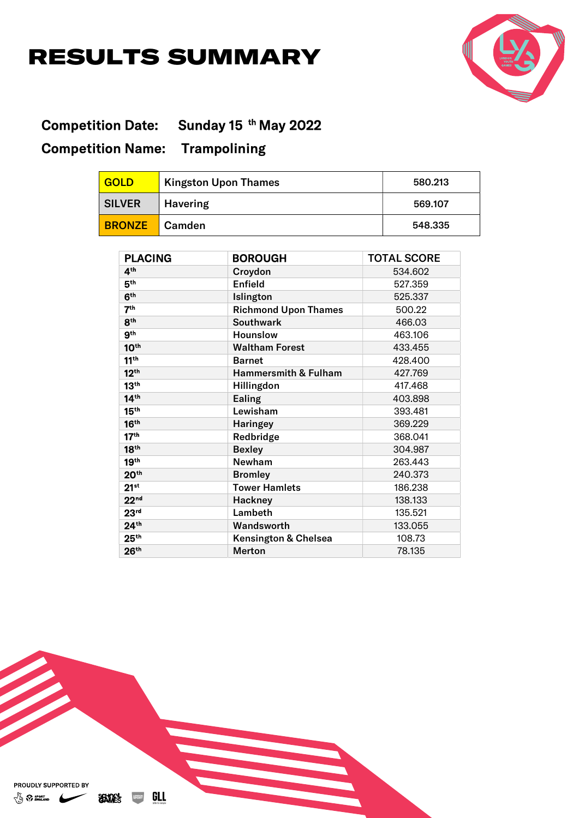## RESULTS SUMMARY



## Competition Date: Sunday 15<sup>th</sup> May 2022 Competition Name: Trampolining

| <b>GOLD</b>   | <b>Kingston Upon Thames</b> | 580.213 |
|---------------|-----------------------------|---------|
| <b>SILVER</b> | <b>Havering</b>             | 569.107 |
| <b>BRONZE</b> | <b>Camden</b>               | 548.335 |

| <b>PLACING</b>   | <b>BOROUGH</b>                  | <b>TOTAL SCORE</b> |
|------------------|---------------------------------|--------------------|
| 4 <sup>th</sup>  | Croydon                         | 534.602            |
| 5 <sup>th</sup>  | <b>Enfield</b>                  | 527.359            |
| 6 <sup>th</sup>  | Islington                       | 525.337            |
| 7 <sup>th</sup>  | <b>Richmond Upon Thames</b>     | 500.22             |
| 8 <sup>th</sup>  | <b>Southwark</b>                | 466.03             |
| 9 <sup>th</sup>  | <b>Hounslow</b>                 | 463.106            |
| 10 <sup>th</sup> | <b>Waltham Forest</b>           | 433.455            |
| 11 <sup>th</sup> | <b>Barnet</b>                   | 428.400            |
| 12 <sup>th</sup> | <b>Hammersmith &amp; Fulham</b> | 427.769            |
| 13 <sup>th</sup> | Hillingdon                      | 417.468            |
| 14 <sup>th</sup> | Ealing                          | 403.898            |
| 15 <sup>th</sup> | Lewisham                        | 393.481            |
| 16 <sup>th</sup> | <b>Haringey</b>                 | 369.229            |
| 17 <sup>th</sup> | Redbridge                       | 368.041            |
| 18 <sup>th</sup> | <b>Bexley</b>                   | 304.987            |
| 19 <sup>th</sup> | <b>Newham</b>                   | 263.443            |
| 20 <sup>th</sup> | <b>Bromley</b>                  | 240.373            |
| $21^{st}$        | <b>Tower Hamlets</b>            | 186.238            |
| 22 <sub>nd</sub> | Hackney                         | 138.133            |
| 23 <sup>rd</sup> | Lambeth                         | 135.521            |
| 24 <sup>th</sup> | Wandsworth                      | 133.055            |
| 25 <sup>th</sup> | <b>Kensington &amp; Chelsea</b> | 108.73             |
| 26 <sup>th</sup> | <b>Merton</b>                   | 78.135             |

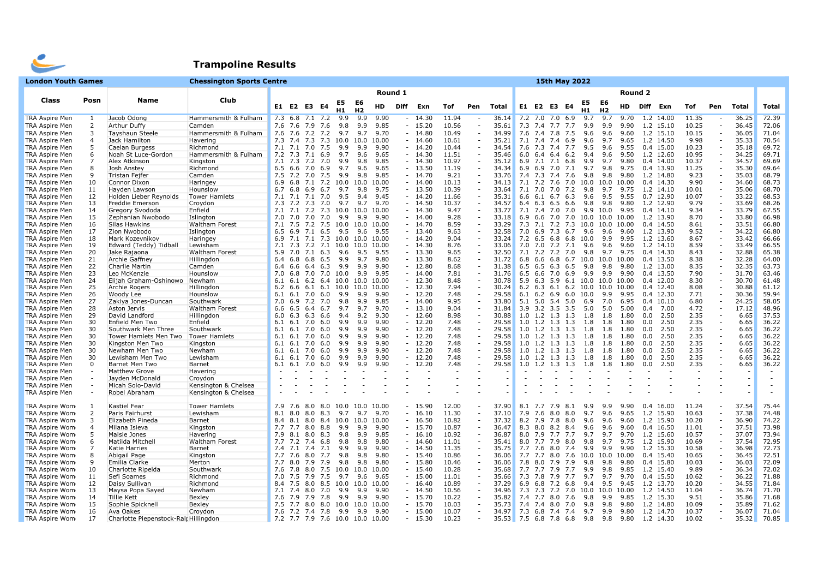

## Trampoline Results

| <b>London Youth Games</b>                      |                |                                       | <b>Chessington Sports Centre</b> |     |     |                                                    |          |     |                      |               |         |                      |              |        |                |                   |     |                         |         | 15th May 2022        |                               |                |         |                          |              |                                                      |                |                |
|------------------------------------------------|----------------|---------------------------------------|----------------------------------|-----|-----|----------------------------------------------------|----------|-----|----------------------|---------------|---------|----------------------|--------------|--------|----------------|-------------------|-----|-------------------------|---------|----------------------|-------------------------------|----------------|---------|--------------------------|--------------|------------------------------------------------------|----------------|----------------|
|                                                |                |                                       |                                  |     |     |                                                    |          |     |                      |               | Round 1 |                      |              |        |                |                   |     |                         |         |                      |                               |                | Round 2 |                          |              |                                                      |                |                |
| Class                                          | Posn           | <b>Name</b>                           | Club                             |     |     | E1 E2 E3 E4                                        |          | E5  | E6<br>H <sub>2</sub> | HD            | Diff    | Exn                  | Tof          | Pen    | Total          |                   |     | E1 E2 E3 E4             |         | E5                   | H <sub>2</sub>                | HD             |         | Diff Exn                 | Tof          | Pen                                                  | Total          | Total          |
| <b>TRA Aspire Men</b>                          | 1              | Jacob Odong                           | Hammersmith & Fulham             |     |     | 7.3 6.8 7.1 7.2                                    |          | 9.9 | 9.9                  | 9.90          |         | $-14.30$             | 11.94        |        | 36.14          |                   |     | $7.2$ $7.0$ $7.0$ 6.9   |         | 9.7                  | 9.7                           | 9.70           |         | 1.2 14.00                | 11.35        | $\sim$                                               | 36.25          | 72.39          |
| <b>TRA Aspire Men</b>                          | $\overline{2}$ | Arthur Duffy                          | Camden                           |     |     | 7.6 7.6 7.9 7.6                                    |          | 9.8 | 9.9                  | 9.85          |         | $-15.20$             | 10.56        |        | 35.61          |                   |     | 7.3 7.4 7.7 7.7         |         | 9.9                  | 9.9                           | 9.90           |         | 1.2 15.10                | 10.25        | $\overline{\phantom{a}}$                             | 36.45          | 72.06          |
| <b>TRA Aspire Men</b>                          | 3              | <b>Tayshaun Steele</b>                | Hammersmith & Fulham             |     |     | 7.6 7.6 7.2 7.2                                    |          | 9.7 | 9.7                  | 9.70          |         | $-14.80$             | 10.49        | $\sim$ | 34.99          |                   |     | 7.6 7.4 7.8 7.5         |         | 9.6                  | 9.6                           | 9.60           |         | 1.2 15.10                | 10.15        | $\sim$                                               | 36.05          | 71.04          |
| <b>TRA Aspire Men</b>                          | $\overline{4}$ | Jack Hamilton                         | Havering                         |     |     | 7.3 7.4 7.3 7.3 10.0                               |          |     | 10.0                 | 10.00         |         | $-14.60$             | 10.61        |        | 35.21          |                   |     | $7.1$ $7.4$ $7.4$       | 6.9     | 9.6                  | 9.7                           | 9.65           |         | 1.2 14.50                | 9.98         | $\sim$                                               | 35.33          | 70.54          |
| <b>TRA Aspire Men</b>                          | 5              | Caelan Burgess                        | Richmond                         |     |     | 7.1 7.1 7.0 7.5                                    |          | 9.9 | 9.9                  | 9.90          |         | $-14.20$             | 10.44        |        | 34.54          |                   |     | 7.6 7.3 7.4 7.7         |         | 9.5                  | 9.6                           | 9.55           |         | 0.4 15.00                | 10.23        | $\overline{\phantom{a}}$                             | 35.18          | 69.72          |
| <b>TRA Aspire Men</b>                          | 6              | Noah St Luce-Gordon                   | Hammersmith & Fulham             | 7.2 | 7.3 | 7.1 6.9                                            |          | 9.7 | 9.6                  | 9.65          |         | $-14.30$             | 11.51        |        | 35.46          | 6.0               | 6.4 |                         | 6.4 6.2 | 9.4                  | 9.6                           | 9.50           |         | 1.2 12.60                | 10.95        | $\overline{\phantom{a}}$                             | 34.25          | 69.71          |
| <b>TRA Aspire Men</b>                          | 7              | Alex Atkinson                         | Kingston                         |     |     | 7.1 7.3 7.2 7.0                                    |          | 9.9 | 9.8                  | 9.85          |         | $-14.30$             | 10.97        |        | 35.12          | 6.9               |     | 7.1 7.1                 | 6.8     | 9.9                  | 9.7                           | 9.80           |         | 0.4 14.00                | 10.37        | $\sim$                                               | 34.57          | 69.69          |
| <b>TRA Aspire Men</b>                          | 8              | Josh Anstey                           | Richmond                         |     |     | 6.5 6.6 7.0 6.9                                    |          | 9.7 | 9.6                  | 9.65          |         | $-13.50$             | 11.19        |        | 34.34          | 6.9               |     | 6.9 7.0 7.1             |         | 9.7                  | 9.8                           | 9.75           |         | 0.4 13.90                | 11.25        | $\overline{\phantom{a}}$                             | 35.30          | 69.64          |
| <b>TRA Aspire Men</b>                          | 9              | <b>Tristan Fejfer</b>                 | Camden                           |     |     | 7.5 7.2 7.0 7.5                                    |          | 9.9 | 9.8                  | 9.85          |         | $-14.70$             | 9.21         |        | 33.76          |                   |     | 7.4 7.3 7.4 7.6         |         | 9.8                  | 9.8                           | 9.80           |         | 1.2 14.80                | 9.23         | $\overline{\phantom{a}}$                             | 35.03          | 68.79          |
| <b>TRA Aspire Men</b>                          | 10             | Connor Dixon                          | Haringey                         | 6.9 |     | 6.8 7.1 7.2 10.0                                   |          |     | 10.0                 | 10.00         |         | $-14.00$             | 10.13        |        | 34.13          |                   |     | 7.1 7.2 7.6 7.0         |         | 10.0                 |                               | 10.0 10.00     |         | 0.4 14.30                | 9.90         | $\overline{\phantom{a}}$                             | 34.60          | 68.73          |
| <b>TRA Aspire Men</b>                          | 11             | Hayden Lawson                         | Hounslow                         | 6.7 | 6.8 | 6.9 6.7                                            |          | 9.7 | 9.8                  | 9.75          |         | $-13.50$             | 10.39        |        | 33.64          | 7.1               |     | 7.0 7.0 7.2             |         | 9.8                  | 9.7                           | 9.75           |         | 1.2 14.10                | 10.01        | $\overline{\phantom{a}}$                             | 35.06          | 68.70          |
| <b>TRA Aspire Men</b>                          | 12             | Holden Lieber Reynolds                | <b>Tower Hamlets</b>             |     |     | 7.1 7.1 7.1 7.0                                    |          | 9.5 | 9.4                  | 9.45          |         | $-14.20$             | 11.66        |        | 35.31          |                   |     | 6.6 6.1 6.7 6.3         |         | 9.6                  | 9.5                           | 9.55           |         | $0.7$ 12.90              | 10.07        | $\overline{\phantom{a}}$                             | 33.22          | 68.53          |
| <b>TRA Aspire Men</b>                          | 13             | Freddie Emerson                       | Croydon                          |     |     | 7.3 7.2 7.3 7.0                                    |          | 9.7 | 9.7                  | 9.70          |         | $-14.50$             | 10.37        | $\sim$ | 34.57          |                   |     | 6.4 6.3 6.5 6.6         |         | 9.8                  | 9.8                           | 9.80           |         | 1.2 12.90                | 9.79         | $\sim$                                               | 33.69          | 68.26          |
| <b>TRA Aspire Men</b>                          | 14             | Gregory Svododa                       | Enfield                          |     |     | 7.1 7.1 7.2 7.3 10.0                               |          |     | 10.0                 | 10.00<br>9.90 |         | $-14.30$             | 9.47<br>9.28 |        | 33.77<br>33.18 | 7.1               |     | 7.4 7.0 7.0             |         | 9.9                  | 10.0                          | 9.95           |         | $0.4$ 14.10<br>1.2 13.90 | 9.34         | $\overline{\phantom{a}}$<br>$\overline{\phantom{a}}$ | 33.79<br>33.80 | 67.55<br>66.98 |
| <b>TRA Aspire Men</b><br><b>TRA Aspire Men</b> | 15             | Zephanian Nwobodo                     | Islington<br>Waltham Forest      |     |     | 7.0 7.0 7.0 7.0<br>7.1 7.5 7.2 7.5 10.0 10.0 10.00 |          | 9.9 | 9.9                  |               |         | $-14.00$<br>$-14.70$ | 8.59         |        | 33.29          | 6.9<br>7.3        |     |                         |         | 7.1 7.2 7.3 10.0     | 6.6 7.0 7.0 10.0 10.0<br>10.0 | 10.00<br>10.00 |         | 0.4 14.50                | 8.70<br>8.61 | $\overline{\phantom{a}}$                             | 33.51          | 66.80          |
| <b>TRA Aspire Men</b>                          | 16<br>17       | Silas Hawkins<br>Zion Nwobodo         |                                  | 6.5 |     | 6.9 7.1 6.5                                        |          | 9.5 | 9.6                  | 9.55          |         | $-13.40$             | 9.63         |        | 32.58          | 7.0               | 6.9 | 7.3                     | 6.7     | 9.6                  | 9.6                           | 9.60           |         | 1.2 13.90                | 9.52         | $\overline{\phantom{a}}$                             | 34.22          | 66.80          |
| <b>TRA Aspire Men</b>                          | 18             | Mark Kozevnikov                       | Islington<br>Haringey            |     |     | 6.9 7.1 7.1 7.3 10.0 10.0                          |          |     |                      | 10.00         |         | $-14.20$             | 9.04         |        | 33.24          | 7.2               |     |                         |         | 6.5 6.8 6.8 10.0     | 9.9                           | 9.95           |         | 1.2 13.60                | 8.67         | $\overline{\phantom{a}}$                             | 33.42          | 66.66          |
| <b>TRA Aspire Men</b>                          | 19             | Edward (Teddy) Tidball                | Lewisham                         |     |     | 7.1 7.3 7.2 7.1 10.0                               |          |     |                      | 10.0 10.00    |         | $-14.30$             | 8.76         |        | 33.06          |                   |     | 7.0 7.0 7.2 7.1         |         | 9.6                  | 9.6                           | 9.60           |         | 1.2 14.10                | 8.59         | $\sim$                                               | 33.49          | 66.55          |
| <b>TRA Aspire Men</b>                          | 20             | Jake Rajaona                          | Waltham Forest                   | 5.9 | 7.0 | 7.1 6.3                                            |          | 9.6 | 9.5                  | 9.55          |         | $-13.30$             | 9.65         |        | 32.50          | 7.1               |     | 7.2 7.2 7.0             |         | 9.8                  | 9.7                           | 9.75           |         | 0.4 14.30                | 8.43         | $\overline{\phantom{a}}$                             | 32.88          | 65.38          |
| TRA Aspire Men                                 | 21             | <b>Archie Gaffney</b>                 | Hillingdon                       | 6.4 | 6.8 | 6.8 6.5                                            |          | 9.9 | 9.7                  | 9.80          |         | $-13.30$             | 8.62         |        | 31.72          | 6.8               |     |                         |         | 6.6 6.8 6.7 10.0     |                               | 10.0 10.00     |         | 0.4 13.50                | 8.38         | $\overline{\phantom{a}}$                             | 32.28          | 64.00          |
| TRA Aspire Men                                 | 22             | Charlie Martin                        | Camden                           | 6.4 | 6.6 | 6.4 6.3                                            |          | 9.9 | 9.9                  | 9.90          |         | $-12.80$             | 8.68         |        | 31.38          | 6.5               |     | $6.5$ $6.3$ $6.5$       |         | 9.8                  | 9.8                           | 9.80           |         | 1.2 13.00                | 8.35         | $\overline{\phantom{a}}$                             | 32.35          | 63.73          |
| <b>TRA Aspire Men</b>                          | 23             | Leo McKenzie                          | Hounslow                         | 7.0 |     | 6.8 7.0 7.0 10.0                                   |          |     | 9.9                  | 9.95          |         | $-14.00$             | 7.81         |        | 31.76          | 6.5               |     | 6.6 7.0 6.9             |         | 9.9                  | 9.9                           | 9.90           |         | 0.4 13.50                | 7.90         | $\overline{\phantom{a}}$                             | 31.70          | 63.46          |
| <b>TRA Aspire Men</b>                          | 24             | Elijah Graham-Oshinowo                | Newham                           | 6.1 |     | 6.1 6.2 6.4 10.0 10.0 10.00                        |          |     |                      |               |         | $-12.30$             | 8.48         |        | 30.78          | 5.9               |     |                         |         |                      | 6.3 5.9 6.1 10.0 10.0 10.00   |                |         | 0.4 12.00                | 8.30         | $\overline{\phantom{a}}$                             | 30.70          | 61.48          |
| <b>TRA Aspire Men</b>                          | 25             | Archie Rogers                         | Hillingdon                       | 6.2 | 6.6 | 6.1                                                | 6.1 10.0 |     | 10.0                 | 10.00         |         | $-12.30$             | 7.94         |        | 30.24          | 6.2               |     |                         |         | 6.3 6.1 6.2 10.0     | 10.0                          | 10.00          |         | 0.4 12.40                | 8.08         | $\overline{\phantom{a}}$                             | 30.88          | 61.12          |
| <b>TRA Aspire Men</b>                          | 26             | Woody Lee                             | Hounslow                         | 6.1 |     | $6.1$ 7.0 6.0                                      |          | 9.9 | 9.9                  | 9.90          |         | $-12.20$             | 7.48         |        | 29.58          |                   |     | $6.1\quad 6.2\quad 6.9$ | 6.0     | 10.0                 | 9.9                           | 9.95           |         | 0.4 12.30                | 7.71         | $\sim$                                               | 30.36          | 59.94          |
| <b>TRA Aspire Men</b>                          | 27             | Zakiya Jones-Duncan                   | Southwark                        | 7.0 |     | 6.9 7.2 7.0                                        |          | 9.8 | 9.9                  | 9.85          |         | $-14.00$             | 9.95         |        | 33.80          |                   |     | 5.1 5.0 5.4 5.0         |         | 6.9                  | 7.0                           | 6.95           |         | $0.4$ 10.10              | 6.80         | $\overline{\phantom{a}}$                             | 24.25          | 58.05          |
| <b>TRA Aspire Men</b>                          | 28             | Aston Jervis                          | <b>Waltham Forest</b>            | 6.6 | 6.5 | 6.4                                                | 6.7      | 9.7 | 9.7                  | 9.70          |         | $-13.10$             | 9.04         |        | 31.84          | 3.9               |     | 3.2 3.5 3.5             |         | 5.0                  | 5.0                           | 5.00           | 0.4     | 7.00                     | 4.72         | $\overline{\phantom{a}}$                             | 17.12          | 48.96          |
| <b>TRA Aspire Men</b>                          | 29             | David Landford                        | Hillingdon                       | 6.0 |     | $6.3$ $6.3$ $6.6$                                  |          | 9.4 | 9.2                  | 9.30          |         | $-12.60$             | 8.98         |        | 30.88          |                   |     | $1.0$ $1.2$ $1.3$ $1.3$ |         | 1.8                  | 1.8                           | 1.80           | 0.0     | 2.50                     | 2.35         | $\sim$                                               | 6.65           | 37.53          |
| <b>TRA Aspire Men</b>                          | 30             | Enfield Men Two                       | Enfield                          | 6.1 |     | 6.1 7.0                                            | 6.0      | 9.9 | 9.9                  | 9.90          |         | $-12.20$             | 7.48         |        | 29.58          |                   |     | $1.0$ 1.2 1.3           | 1.3     | 1.8                  | 1.8                           | 1.80           | 0.0     | 2.50                     | 2.35         | $\overline{\phantom{a}}$                             | 6.65           | 36.22          |
| <b>TRA Aspire Men</b>                          | 30             | Southwark Men Three                   | Southwark                        | 6.1 |     | $6.1$ 7.0 6.0                                      |          | 9.9 | 9.9                  | 9.90          |         | $-12.20$             | 7.48         |        | 29.58          |                   |     | $1.0$ $1.2$ $1.3$       | 1.3     | 1.8                  | 1.8                           | 1.80           | 0.0     | 2.50                     | 2.35         | $\overline{\phantom{a}}$                             | 6.65           | 36.22          |
| <b>TRA Aspire Men</b>                          | 30             | Tower Hamlets Men Two                 | Tower Hamlets                    | 6.1 |     | $6.1$ 7.0 6.0                                      |          | 9.9 | 9.9                  | 9.90          |         | $-12.20$             | 7.48         |        | 29.58          |                   |     | $1.0$ $1.2$ $1.3$ $1.3$ |         | 1.8                  | 1.8                           | 1.80           | 0.0     | 2.50                     | 2.35         | $\sim$                                               | 6.65           | 36.22          |
| <b>TRA Aspire Men</b>                          | 30             | Kingston Men Two                      | Kingston                         |     |     | $6.1$ $6.1$ $7.0$ $6.0$                            |          | 9.9 | 9.9                  | 9.90          |         | $-12.20$             | 7.48         |        | 29.58          |                   |     | $1.0$ $1.2$ $1.3$ $1.3$ |         | 1.8                  | 1.8                           | 1.80           | 0.0     | 2.50                     | 2.35         | $\overline{\phantom{a}}$                             | 6.65           | 36.22          |
| <b>TRA Aspire Men</b>                          | 30             | Newham Men Two                        | Newham                           |     |     | $6.1$ $6.1$ $7.0$ $6.0$                            |          | 9.9 | 9.9                  | 9.90          |         | $-12.20$             | 7.48         |        | 29.58          |                   |     | 1.0 1.2 1.3 1.3         |         | 1.8                  | 1.8                           | 1.80           | 0.0     | 2.50                     | 2.35         | $\sim$                                               | 6.65           | 36.22          |
| <b>TRA Aspire Men</b>                          | 30             | Lewisham Men Two                      | Lewisham                         |     |     | $6.1$ $6.1$ $7.0$ $6.0$                            |          | 9.9 | 9.9                  | 9.90          |         | $-12.20$             | 7.48         |        | 29.58          |                   |     | $1.0$ $1.2$ $1.3$ $1.3$ |         | 1.8                  | 1.8                           | 1.80           | 0.0     | 2.50                     | 2.35         | $\sim$                                               | 6.65           | 36.22          |
| <b>TRA Aspire Men</b>                          | 0              | <b>Barnet Men Two</b>                 | Barnet                           |     |     | $6.1$ $6.1$ $7.0$ $6.0$                            |          | 9.9 | 9.9                  | 9.90          |         | $-12.20$             | 7.48         |        | 29.58          |                   |     | $1.0$ $1.2$ $1.3$       | 1.3     | 1.8                  | 1.8                           | 1.80           | 0.0     | 2.50                     | 2.35         |                                                      | 6.65           | 36.22          |
| <b>TRA Aspire Men</b>                          |                | <b>Matthew Grove</b>                  | Havering                         |     |     |                                                    |          |     |                      |               |         |                      |              |        |                |                   |     |                         |         |                      |                               |                |         |                          |              |                                                      |                |                |
| <b>TRA Aspire Men</b>                          |                | Jayden McDonald                       | Croydon                          |     |     |                                                    |          |     |                      |               |         |                      |              |        |                |                   |     |                         |         |                      |                               |                |         |                          |              |                                                      |                |                |
| <b>TRA Aspire Men</b>                          |                | Micah Solo-David                      | Kensington & Chelsea             |     |     |                                                    |          |     |                      |               |         |                      |              |        |                |                   |     |                         |         |                      |                               |                |         |                          |              |                                                      |                |                |
| <b>TRA Aspire Men</b>                          |                | Robel Abraham                         | Kensington & Chelsea             |     |     |                                                    |          |     |                      |               |         |                      |              |        |                |                   |     |                         |         |                      |                               |                |         |                          |              |                                                      |                |                |
| TRA Aspire Wom                                 | -1             | Kastiel Fear                          | <b>Tower Hamlets</b>             |     |     | 7.9 7.6 8.0 8.0 10.0 10.0 10.00                    |          |     |                      |               |         | $-15.90$             | 12.00        |        | 37.90          |                   |     | 8.1 7.7 7.9             | 8.1     | 9.9                  | 9.9                           | 9.90           |         | 0.4 16.00                | 11.24        |                                                      | 37.54          | 75.44          |
| TRA Aspire Wom                                 | $\overline{2}$ | Paris Fairhurst                       | Lewisham                         | 8.1 | 8.0 | 8.0 8.3                                            |          | 9.7 | 9.7                  | 9.70          |         | $-16.10$             | 11.30        |        | 37.10          | 7.9               |     | 7.6 8.0                 | 8.0     | 9.7                  | 9.6                           | 9.65           |         | 1.2 15.90                | 10.63        | $\overline{\phantom{a}}$                             | 37.38          | 74.48          |
| TRA Aspire Wom                                 | 3              | Elizabeth Pineda                      | Barnet                           | 8.4 |     | 8.1 8.0 8.4 10.0                                   |          |     |                      | 10.0 10.00    |         | $-16.50$             | 10.82        |        | 37.32          | 8.2               |     | 7.9 7.8 8.0             |         | 9.6                  | 9.6                           | 9.60           |         | 1.2 15.90                | 10.20        | $\overline{\phantom{a}}$                             | 36.90          | 74.22          |
| TRA Aspire Wom                                 |                | Milana Isieva                         | Kingston                         |     |     | 7.7 7.7 8.0 8.8                                    |          | 9.9 | 9.9                  | 9.90          |         | $-15.70$             | 10.87        |        | 36.47          | 8.3               |     | 8.0 8.2 8.4             |         | 9.6                  | 9.6                           | 9.60           |         | 0.4 16.50                | 11.01        | $\overline{\phantom{a}}$                             | 37.51          | 73.98          |
| TRA Aspire Wom                                 | 5              | Maisie Jones                          | Havering                         |     |     | 7.9 8.1 8.0 8.3                                    |          | 9.8 | 9.9                  | 9.85          |         | $-16.10$             | 10.92        |        | 36.87          | 8.0               |     | 7.9 7.7 7.7             |         | 9.7                  | 9.7                           | 9.70           |         | 1.2 15.60                | 10.57        | $\overline{\phantom{a}}$                             | 37.07          | 73.94          |
| TRA Aspire Wom                                 | 6              | Matilda Mitchell                      | Waltham Forest                   |     |     | 7.7 7.2 7.4 6.8                                    |          | 9.8 | 9.8                  | 9.80          |         | $-14.60$             | 11.01        |        | 35.41          |                   |     | 8.0 7.7 7.9 8.0         |         | 9.8                  | 9.7                           | 9.75           |         | 1.2 15.90                | 10.69        | $\overline{\phantom{a}}$                             | 37.54          | 72.95          |
| TRA Aspire Wom                                 | 7              | Katie Harries                         | Barnet                           |     |     | 7.4 7.1 7.4 7.1                                    |          | 9.9 | 9.9                  | 9.90          |         | $-14.50$             | 11.35        |        | 35.75          |                   |     | 7.7 7.6 8.0 7.4         |         | 9.9                  | 9.9                           | 9.90           |         | 1.2 15.30                | 10.58        | $\overline{\phantom{a}}$                             | 36.98          | 72.73          |
| TRA Aspire Wom                                 | 8              | Abigail Page                          | Kingston                         |     |     | 7.7 7.6 8.0 7.7                                    |          | 9.8 | 9.8                  | 9.80          |         | $-15.40$             | 10.86        |        | 36.06          |                   |     |                         |         | 7.7 7.7 8.0 7.6 10.0 | 10.0                          | 10.00          |         | 0.4 15.40                | 10.65        | $\overline{\phantom{a}}$                             | 36.45          | 72.51          |
| TRA Aspire Wom                                 | 9              | Emilia Clarke                         | Merton                           | 7.7 | 8.0 | 7.9                                                | 7.9      | 9.8 | 9.8                  | 9.80          |         | $-15.80$             | 10.46        |        | 36.06          | 7.8               | 8.0 | 7.9                     | 7.9     | 9.8                  | 9.8                           | 9.80           |         | 0.4 15.80                | 10.03        | $\overline{\phantom{a}}$                             | 36.03          | 72.09          |
| TRA Aspire Wom                                 | 10             | Charlotte Ripelda                     | Southwark                        |     |     | 7.6 7.8 8.0 7.5 10.0                               |          |     | 10.0                 | 10.00         |         | $-15.40$             | 10.28        |        | 35.68          |                   |     | 7.7 7.7 7.9             | 7.7     | 9.9                  | 9.8                           | 9.85           |         | 1.2 15.40                | 9.89         | $\overline{\phantom{a}}$                             | 36.34          | 72.02          |
| TRA Aspire Wom                                 | 11             | Sefi Soames                           | Richmond                         |     |     | 7.0 7.5 7.9 7.5                                    |          | 9.7 | 9.6                  | 9.65          |         | $-15.00$             | 11.01        |        | 35.66          |                   |     | 7.3 7.8 7.9 7.7         |         | 9.7                  | 9.7                           | 9.70           |         | 0.4 15.50                | 10.62        | $\overline{\phantom{a}}$                             | 36.22          | 71.88          |
| TRA Aspire Wom                                 | 12             | Daisy Sullivan                        | Richmond                         | 8.4 |     | 7.5 8.0 8.5 10.0                                   |          |     | 10.0                 | 10.00         |         | $-16.40$             | 10.89        |        | 37.29          | 6.9               |     | 6.8 7.2                 | 6.8     | 9.4                  | 9.5                           | 9.45           |         | 1.2 13.70                | 10.20        | $\overline{\phantom{a}}$                             | 34.55          | 71.84          |
| TRA Aspire Wom                                 | 13             | Maysa Popa Sayed                      | Newham                           | 7.1 |     | 7.4 8.0 7.0                                        |          | 9.9 | 9.9                  | 9.90          |         | $-14.50$             | 10.56        |        | 34.96          | 7.3               |     | 7.3 7.2                 | 7.0     | 10.0                 | 10.0                          | 10.00          |         | 1.2 14.50                | 11.04        | $\sim$                                               | 36.74          | 71.70          |
| TRA Aspire Wom                                 | 14             | <b>Tillie Kett</b>                    | Bexley                           |     |     | 7.6 7.9 7.9 7.8                                    |          | 9.9 | 9.9                  | 9.90          |         | $-15.70$             | 10.22        |        | 35.82          |                   |     | 7.4 7.7 8.0 7.6         |         | 9.8                  | 9.9                           | 9.85           |         | 1.2 15.30                | 9.51         | $\overline{\phantom{a}}$                             | 35.86          | 71.68          |
| TRA Aspire Wom                                 | 15             | Sophie Spicknell                      | Bexley                           |     |     | 7.5 7.7 8.0 8.0 10.0 10.0 10.00                    |          |     |                      |               |         | $-15.70$             | 10.03        |        | 35.73          |                   |     | 7.4 7.4 8.0 7.0         |         | 9.8                  | 9.8                           | 9.80           |         | 1.2 14.80                | 10.09        | $\overline{\phantom{a}}$                             | 35.89          | 71.62          |
| TRA Aspire Wom                                 | 16             | Ava Oakes                             | Croydon                          |     |     | 7.6 7.2 7.4 7.8 9.9 9.9                            |          |     |                      | 9.90          |         | $-15.00$             | 10.07        |        | 34.97          |                   |     |                         |         | 7.3 6.8 7.4 7.4 9.7  | 9.9                           | 9.80           |         | 1.2 14.70                | 10.37        | $\sim$                                               | 36.07          | 71.04          |
| TRA Aspire Wom                                 | 17             | Charlotte Piepenstock-Ralı Hillingdon |                                  |     |     | 7.2 7.7 7.9 7.6 10.0 10.0 10.00                    |          |     |                      |               |         | $-15.30$             | 10.23        |        | 35.53          | $7.5$ 6.8 7.8 6.8 |     |                         |         | 9.8                  |                               |                |         | 9.8 9.80 1.2 14.30       | 10.02        |                                                      | 35.32          | 70.85          |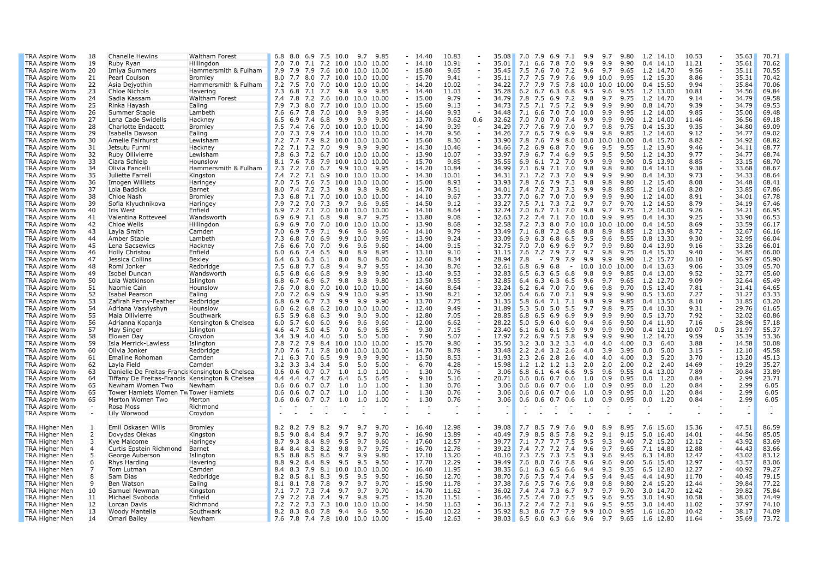| TRA Aspire Wom        | 18             | Chanelle Hewins                                  | Waltham Forest        | 8.0 6.9 7.5 10.0<br>6.8                         | 9.85<br>9.7          | 14.40              | 10.83 |        | 35.08          | $7.0$ $7.9$ $6.9$<br>7.1           | 9.9        | 9.7        | 9.80         | 1.2 14.10    | 10.53          |                                    | 35.63          | 70.71          |
|-----------------------|----------------|--------------------------------------------------|-----------------------|-------------------------------------------------|----------------------|--------------------|-------|--------|----------------|------------------------------------|------------|------------|--------------|--------------|----------------|------------------------------------|----------------|----------------|
| TRA Aspire Wom        | 19             | Ruby Ryan                                        | Hillingdon            | 7.0 7.1 7.2 10.0 10.0 10.00<br>7.0              |                      | $-14.10$           | 10.91 |        | 35.01          | 7.0<br>7.1<br>6.6 7.8              | 9.9        | 9.9        | 9.90         | $0.4$ 14.10  | 11.21          | $\sim$                             | 35.61          | 70.62          |
| TRA Aspire Wom        | 20             | Imiya Summers                                    | Hammersmith & Fulham  | 7.9<br>7.6 10.0 10.0<br>7.9<br>7.9              | 10.00                | $-15.80$           | 9.65  |        | 35.45          | 7.6<br>7.0<br>7.2<br>7.5           | 9.6        | 9.7        | 9.65         | 1.2 14.70    | 9.56           | $\overline{\phantom{a}}$           | 35.11          | 70.55          |
| TRA Aspire Wom        | 21             | Pearl Coulson                                    | Bromley               | 8.0 7.7 8.0 7.7 10.0 10.0                       | 10.00                | $-15.70$           | 9.41  |        | 35.11          | 7.7<br>7.5<br>7.9<br>7.6           | 9.9        | 10.0       | 9.95         | 1.2 15.30    | 8.86           | $\sim$                             | 35.31          | 70.42          |
| TRA Aspire Wom        | 22             | Asia Dejyothin                                   | Hammersmith & Fulham  | 7.2 7.5 7.0 7.0 10.0 10.0 10.00                 |                      | $-14.20$           | 10.02 |        | 34.22          | 7.7 7.9 7.5 7.8 10.0 10.0          |            |            | 10.00        | 0.4 15.50    | 9.94           | $\omega$                           | 35.84          | 70.06          |
| TRA Aspire Wom        | 23             | Chloe Nichols                                    | Havering              | 7.3 6.8 7.1 7.7 9.8                             | 9.9<br>9.85          | $-14.40$           | 11.03 |        | 35.28          | $6.2$ $6.7$ $6.3$ $6.8$            | 9.5        | 9.6        | 9.55         | 1.2 13.00    | 10.81          | $\overline{\phantom{a}}$           | 34.56          | 69.84          |
| TRA Aspire Wom        | 24             | Sadia Kassam                                     | Waltham Forest        | 7.8 7.2 7.6 10.0 10.0<br>7.4                    | 10.00                | $-15.00$           | 9.79  |        | 34.79          | 7.8 7.5 6.9 7.2                    | 9.8        | 9.7        | 9.75         | 1.2 14.70    | 9.14           | $\overline{\phantom{a}}$           | 34.79          | 69.58          |
| TRA Aspire Wom        | 25             | Rinka Hayash                                     | Ealing                | 7.3 8.0 7.7 10.0<br>7.9                         | 10.0<br>10.00        | $-15.60$           | 9.13  | $\sim$ | 34.73          | 7.1 7.5 7.2<br>7.5                 | 9.9        | 9.9        | 9.90         | 0.8 14.70    | 9.39           | $\sim$                             | 34.79          | 69.53          |
| TRA Aspire Wom        | 26             | Summer Staple                                    | Lambeth               | 6.7 7.8 7.0 10.0<br>7.6                         | 9.95<br>9.9          | $-14.60$           | 9.93  | $\sim$ | 34.48          | 7.1 6.6 7.0 7.0                    | 10.0       | 9.9        | 9.95         | 1.2 14.00    | 9.85           | $\sim$                             | 35.00          | 69.48          |
| TRA Aspire Wom        | 27             | Lena Cade Swidells                               | Hackney               | 6.9 7.4 6.8 9.9<br>6.5                          | 9.90<br>9.9          | $-13.70$           | 9.62  | 0.6    | 32.62          | 7.0 7.0 7.0<br>7.4                 | 9.9        | 9.9        | 9.90         | 1.2 14.00    | 11.46          | $\bar{a}$                          | 36.56          | 69.18          |
| TRA Aspire Wom        | 28             | Charlotte Endacott                               | Bromley               | 7.4 7.6 7.0 10.0 10.0 10.00<br>7.5              |                      | $-14.90$           | 9.39  |        | 34.29          | 7.7 7.6 7.9 7.0                    | 9.7        | 9.8        | 9.75         | 0.4 15.30    | 9.35           | $\overline{\phantom{a}}$           | 34.80          | 69.09          |
| TRA Aspire Wom        | 29             | Isabella Dawson                                  | Ealing                | 7.0<br>7.3 7.9 7.4 10.0 10.0                    | 10.00                | $-14.70$           | 9.56  |        | 34.26          | $6.5$ 7.9 6.9<br>7.7               | 9.9        | 9.8        | 9.85         | 1.2 14.60    | 9.12           | $\overline{\phantom{a}}$           | 34.77          | 69.02          |
| TRA Aspire Wom        | 30             | Amelie Fairhurst                                 | Lewisham              | 7.7 7.9 8.2 10.0 10.0 10.00<br>7.2              |                      | $-15.60$           | 8.30  |        | 33.90          | 7.8 7.6 7.9 8.0                    | 10.0       | 10.0 10.00 |              | 0.4 15.70    | 8.82           | $\omega$                           | 34.92          | 68.82          |
| TRA Aspire Wom        | 31             | Jetsutu Funmi                                    | Hackney               | 7.1 7.2 7.0<br>7.2<br>9.9                       | 9.9<br>9.90          | $-14.30$           | 10.46 |        | 34.66          | $6.9$ $6.8$ $7.0$<br>7.2           | 9.6        | 9.5        | 9.55         | 1.2 13.90    | 9.46           | $\sim$                             | 34.11          | 68.77          |
| TRA Aspire Wom        | 32             | Ruby Ollivierre                                  | Lewisham              | 6.3 7.2 6.7 10.0 10.0 10.00<br>7.8              |                      | $-13.90$           | 10.07 |        | 33.97          | 7.9<br>6.7 7.4 6.9                 | 9.5        | 9.5        | 9.50         | 1.2 14.30    | 9.77           | $\sim$                             | 34.77          | 68.74          |
| TRA Aspire Wom        | 33             | Ciara Schleip                                    | Hounslow              | 7.6 7.8 7.9 10.0 10.0<br>8.1                    | 10.00                | $-15.70$           | 9.85  |        | 35.55          | 6.1 7.2 7.0<br>6.9                 | 9.9        | 9.9        | 9.90         | 0.5 13.90    | 8.85           | $\sim$                             | 33.15          | 68.70          |
| TRA Aspire Wom        | 34             | Olivia Fancelli                                  | Hammersmith & Fulham  | 7.2 7.0 6.7 9.9<br>7.3                          | 10.0<br>9.95         | $-14.20$           | 10.84 |        | 34.99          | 7.1<br>6.9 7.1 7.0                 | 9.8        | 9.8        | 9.80         | $0.4$ 14.10  | 9.38           | $\sim$                             | 33.68          | 68.67          |
| TRA Aspire Wom        | 35             | Juliette Farrell                                 | Kingston              | 7.4<br>7.1 6.9 10.0<br>7.2                      | 10.0<br>10.00        | $-14.30$           | 10.01 |        | 34.31          | 7.2 7.3<br>7.1<br>7.0              | 9.9        | 9.9        | 9.90         | 0.4 14.30    | 9.73           | $\sim$                             | 34.33          | 68.64          |
| TRA Aspire Wom        | 36             | Imogen Williets                                  | Haringey              | 7.0 7.5 7.6 7.5 10.0 10.0                       | 10.00                | $-15.00$           | 8.93  |        | 33.93          | 7.8 7.6 7.9 7.3                    | 9.8        | 9.8        | 9.80         | 1.2 15.40    | 8.08           | $\overline{\phantom{a}}$           | 34.48          | 68.41          |
| TRA Aspire Wom        | 37             | Lola Baddick                                     | Barnet                | 7.4 7.2 7.3 9.8<br>8.0                          | 9.80<br>9.8          | $-14.70$           | 9.51  |        | 34.01          | 7.4 7.2 7.3 7.3                    | 9.9        | 9.8        | 9.85         | 1.2 14.60    | 8.20           | $\overline{\phantom{a}}$           | 33.85          | 67.86          |
| TRA Aspire Wom        | -38            | Chloe Nash                                       | Bromley               | 7.3<br>6.8 7.1 7.0 10.0 10.0                    | 10.00                | $-14.10$           | 9.67  |        | 33.77          | $6.7$ $7.0$<br>7.0<br>7.0          | 9.9        | 9.9        | 9.90         | 1.2 14.00    | 8.91           | $\overline{\phantom{a}}$           | 34.01          | 67.78          |
| TRA Aspire Wom        | 39             | Sofia Klyuchnikova                               | Haringey              | 7.9<br>7.2 7.0 7.3 9.7                          | 9.6<br>9.65          | $-14.50$           | 9.12  |        | 33.27          | 7.5 7.1 7.3 7.2                    | 9.7        | 9.7        | 9.70         | 1.2 14.50    | 8.79           | $\sim$                             | 34.19          | 67.46          |
| TRA Aspire Wom        | 40             | Iris West                                        | Enfield               | 7.2 7.1 7.0 10.0 10.0 10.00<br>6.9              |                      | $-14.10$           | 8.64  |        | 32.74          | 7.0 6.7 7.1 7.0                    | 9.8        | 9.7        | 9.75         | 1.2 14.00    | 9.26           | $\sim$                             | 34.21          | 66.95          |
| TRA Aspire Wom        | 41             | Valentina Rotteveel                              | Wandsworth            | 6.9 7.1 6.8<br>6.9<br>9.8                       | 9.7<br>9.75          | $-13.80$           | 9.08  |        | 32.63          | 7.2 7.4 7.1 7.0                    | 10.0       | 9.9        | 9.95         | 0.4 14.30    | 9.25           | $\overline{\phantom{a}}$           | 33.90          | 66.53          |
| TRA Aspire Wom        | 42             | Chloe Wells                                      | Hillingdon            | $7.0$ $7.0$<br>10.0<br>6.9<br>6.9               | 10.0<br>10.00        | $-13.90$           | 8.68  | $\sim$ | 32.58          | 7.3 8.0<br>7.2<br>7.0              | 10.0       | 10.0       | 10.00        | 0.4 14.50    | 8.69           | $\overline{\phantom{a}}$           | 33.59          | 66.17          |
| TRA Aspire Wom        | 43             | Layla Smith                                      | Camden                | 6.9 7.9 7.1<br>7.0<br>9.6                       | 9.6<br>9.60          | $-14.10$           | 9.79  |        | 33.49          | 7.1 6.8 7.2 6.8                    | 8.8        | 8.9        | 8.85         | 1.2 13.90    | 8.72           | $\omega$                           | 32.67          | 66.16          |
| TRA Aspire Wom        | 44             | Amber Staple                                     | Lambeth               | 7.3<br>6.8<br>7.0<br>6.9<br>9.9                 | 9.95<br>10.0         | $-13.90$           | 9.24  |        | 33.09          | 6.3 6.8<br>6.9<br>6.5              | 9.5        | 9.6        | 9.55         | 0.8 13.30    | 9.30           | $\overline{\phantom{a}}$           | 32.95          | 66.04          |
| TRA Aspire Wom        | 45             | Lena Sacsewics                                   | Hackney               | 7.6<br>$6.6$ 7.0 7.0<br>9.6                     | 9.6<br>9.60          | $-14.00$           | 9.15  |        | 32.75          | $7.0$ $7.0$ $6.9$<br>6.9           | 9.7        | 9.9        | 9.80         | 0.4 13.90    | 9.16           | $\sim$                             | 33.26          | 66.01          |
| TRA Aspire Wom        | 46             | Holly Christou                                   | Enfield               | 7.4<br>6.5<br>6.0<br>6.6<br>9.0                 | 8.9<br>8.95          | $-13.10$           | 9.10  |        | 31.15          | 7.6 7.2 7.9<br>7.7                 | 9.7        | 9.8        | 9.75         | 0.4 15.30    | 9.40           | $\overline{\phantom{a}}$           | 34.85          | 66.00          |
| TRA Aspire Wom        | 47             | Jessica Collins                                  | Bexley                | 6.3<br>6.3 6.1<br>6.4<br>8.0                    | 8.00<br>8.0          | $-12.60$           | 8.34  |        | 28.94          | 7.9<br>7.9<br>7.8<br>$\sim$        | 9.9        | 9.9        | 9.90         | 1.2 15.77    | 10.10          | $\overline{\phantom{a}}$           | 36.97          | 65.90          |
| TRA Aspire Wom        | 48             | Romi Jonker                                      | Redbridge             | 9.4<br>7.5<br>6.8<br>7.7<br>6.8                 | 9.55<br>9.7          | $-14.30$           | 8.76  |        | 32.61          | $6.8$ $6.9$ $6.8$<br>$\sim$        | 10.0       | 10.0       | 10.00        | 0.4 13.63    | 9.06           | $\omega$                           | 33.09          | 65.70          |
| TRA Aspire Wom        | 49             | Isobel Duncan                                    | Wandsworth            | $6.6$ $6.8$<br>9.9<br>6.5<br>6.8                | 9.9<br>9.90          | $-13.40$           | 9.53  |        | 32.83          | 6.3<br>$6.5\;6.8$<br>6.5           | 9.8        | 9.9        | 9.85         | 0.4 13.00    | 9.52           | $\sim$                             | 32.77          | 65.60          |
| TRA Aspire Wom        | 50             | Lola Watkinson                                   | Islington             | $6.7\;6.9$<br>6.7<br>9.8<br>6.8                 | 9.8<br>9.80          | $-13.50$           | 9.55  |        | 32.85          | $6.3\;6.3$<br>6.5<br>6.4           | 9.6        | 9.7        | 9.65         | 1.2 12.70    | 9.09           | $\omega$                           | 32.64          | 65.49          |
| TRA Aspire Wom        | -51            | Naomie Cain                                      | Hounslow              | 7.6<br>7.0<br>8.0<br>7.0<br>10.0                | 10.00<br>10.0        | $-14.60$           | 8.64  | $\sim$ | 33.24          | 7.0<br>6.2<br>6.4<br>7.0           | 9.6        | 9.8        | 9.70         | 0.5 13.40    | 7.81           | $\omega$                           | 31.41          | 64.65          |
| TRA Aspire Wom        | 52             | Isabel Pearson                                   | Ealing                | $7.2\quad 6.9\quad 6.9$<br>9.9<br>7.0           | 10.0<br>9.95         | $-13.90$           | 8.21  | $\sim$ | 32.06          | 6.6 7.0<br>7.1<br>6.4              | 9.9        | 9.9        | 9.90         | 0.5 13.60    | 7.27           | $\sim$                             | 31.27          | 63.33          |
| TRA Aspire Wom        | 53             | Zafirah Penny-Feather                            | Redbridge             | 6.8<br>6.9<br>6.7 7.3<br>9.9                    | 9.9<br>9.90          | $-13.70$           | 7.75  |        | 31.35          | 5.8<br>6.4 7.1 7.1                 | 9.8        | 9.9        | 9.85         | 0.4 13.50    | 8.10           | $\sim$                             | 31.85          | 63.20          |
| TRA Aspire Wom        | 54             | Adriana Vasylyshyn                               | Hounslow              | $6.2$ $6.8$ $6.2$ $10.0$<br>6.0                 | 10.00<br>10.0        | $-12.40$           | 9.49  |        | 31.89          | 5.0 5.0 5.5<br>5.3                 | 9.7        | 9.8        | 9.75         | $0.4$ 10.30  | 9.31           | $\sim$                             | 29.76          | 61.65          |
| TRA Aspire Wom        | 55             | Maia Ollivierre                                  | Southwark             | 6.8<br>6.3<br>9.0<br>6.5<br>5.9                 | 9.00<br>9.0          | $-12.80$           | 7.05  |        | 28.85          | 6.5 6.9<br>6.9<br>6.8              | 9.9        | 9.9        | 9.90         | 0.5 13.70    | 7.92           | $\overline{\phantom{a}}$           | 32.02          | 60.86          |
| TRA Aspire Wom        | 56             | Adrianna Kopanja                                 | Kensington & Chelsea  | 6.0<br>$5.7\;6.0\;6.0$<br>9.6                   | 9.6<br>9.60          | $-12.00$           | 6.62  |        | 28.22          | 5.0<br>5.9<br>6.0<br>6.0           | 9.4        | 9.6        | 9.50         | 0.4 11.90    | 7.16           | $\omega$                           | 28.96          | 57.18          |
| TRA Aspire Wom        | 57             | May Singer                                       | Islington             | 5.0 4.5<br>7.0<br>4.6<br>4.7                    | 6.9<br>6.95          | 9.30               | 7.15  |        | 23.40          | 6.1 6.0 6.1 5.9                    | 9.9        | 9.9        | 9.90         | $0.4$ 12.10  | 10.07          | 0.5                                | 31.97          | 55.37          |
| TRA Aspire Wom        | 58             | Elowen Day                                       | Croydon               | 3.4 3.9 4.0 4.0<br>5.0                          | 5.0<br>5.00          | 7.90<br>$\sim$ $-$ | 5.07  |        | 17.97          | 7.2 6.9 7.5 7.8                    | 9.9        | 9.9        | 9.90         | 1.2 14.70    | 9.59           |                                    | 35.39          | 53.36          |
| TRA Aspire Wom        | 59             | Isla Merrick-Lawless                             | Islington             | 7.2 7.9 8.4 10.0<br>7.8                         | 10.00<br>10.0        | $-15.70$           | 9.80  |        | 35.50          | 3.2<br>$3.0$ $3.2$<br>3.3          | 4.0        | 4.0        | 4.00         | 0.3<br>6.40  | 3.88           | $\overline{\phantom{a}}$           | 14.58          | 50.08          |
| TRA Aspire Wom        | 60             | Olivia Jonker                                    | Redbridge             | 7.6 7.1 7.8 10.0<br>7.0                         | 10.0<br>10.00        | $-14.70$           | 8.78  | $\sim$ | 33.48          | 2.2<br>$2.4$ 3.2<br>2.6            | 4.0        | 3.9        | 3.95         | 0.0<br>5.00  | 3.15           | $\overline{\phantom{a}}$           | 12.10          | 45.58          |
| TRA Aspire Wom        | 61             | Emaline Rohoman                                  | Camden                | 6.5<br>7.1<br>$6.3$ 7.0<br>9.9                  | 9.9<br>9.90          | $-13.50$           | 8.53  |        | 31.93          | 2.3<br>$2.6$ 2.8<br>2.6            | 4.0        | 4.0        | 4.00         | 0.3<br>5.20  | 3.70           | $\sim$                             | 13.20          | 45.13          |
| TRA Aspire Wom        | 62             | Layla Field                                      | Camden                | 3.2<br>3.3 3.4 3.4<br>5.0                       | 5.0<br>5.00          | 6.70<br>$\sim$     | 4.28  |        | 15.98          | 1.2<br>1.2 1.2<br>1.3              | 2.0        | 2.0        | 2.00         | 0.2<br>2.40  | 14.69          | $\sim$                             | 19.29          | 35.27          |
| TRA Aspire Wom        | 63             | Danielle De Freitas-Francis Kensington & Chelsea |                       | $0.6$ 0.6 0.7 0.7<br>1.0                        | 1.00<br>1.0          | 1.30<br>$\sim$     | 0.76  |        | 3.06           | 6.8<br>6.1 6.4 6.6                 | 9.5        | 9.6        | 9.55         | 0.4<br>13.00 | 7.89           | $\overline{\phantom{a}}$           | 30.84          | 33.89          |
| TRA Aspire Wom        | 64             | Tiffany De Freitas-Francis Kensington & Chelsea  |                       | 4.4 4.7 4.7<br>6.4<br>4.4                       | 6.5<br>6.45          | 9.10               | 5.16  |        | 20.71          | 0.6<br>$0.6$ 0.7<br>0.6            | 1.0        | 0.9        | 0.95         | 1.20<br>0.0  | 0.84           | $\overline{\phantom{a}}$           | 2.99           | 23.71          |
| TRA Aspire Wom        | 65             | Newham Women Two                                 | Newham                | 0.6<br>$0.6$ 0.7 0.7<br>1.0                     | 1.00<br>1.0          | 1.30               | 0.76  |        | 3.06           | $0.6$ 0.6 0.7 0.6                  | 1.0        | 0.9        | 0.95         | 0.0<br>1.20  | 0.84           | $\sim$                             | 2.99           | 6.05           |
| TRA Aspire Wom        | 65             | Tower Hamlets Women Tw Tower Hamlets             |                       | $0.6$ 0.7 0.7<br>1.0<br>0.6                     | 1.0<br>1.00          | 1.30               | 0.76  |        | 3.06           | $0.6$ 0.6 0.7 0.6                  | 1.0        | 0.9        | 0.95         | 0.0<br>1.20  | 0.84           | $\bar{a}$                          | 2.99           | 6.05           |
| TRA Aspire Wom        | 65             | Merton Women Two                                 | Merton                | $0.6$ $0.6$ $0.7$ $0.7$ $1.0$                   | 1.0<br>1.00          | 1.30               | 0.76  |        | 3.06           | $0.6$ 0.6 0.7 0.6                  | 1.0        | 0.9        | 0.95         | 0.0<br>1.20  | 0.84           |                                    | 2.99           | 6.05           |
| TRA Aspire Wom        | $\sim$         | Rosa Moss                                        | Richmond              | $\sim$                                          |                      |                    |       |        |                |                                    |            |            |              |              |                |                                    |                |                |
| TRA Aspire Wom        | $\sim$         | Lily Worwood                                     | Croydon               | $\sim$                                          |                      |                    |       |        |                |                                    |            |            |              |              |                |                                    |                |                |
|                       |                |                                                  |                       |                                                 |                      |                    |       |        |                |                                    |            |            |              |              |                |                                    |                |                |
| <b>TRA Higher Men</b> | -1             | Emil Oskasen Wills                               | Bromley               | 8.2 8.2 7.9 8.2<br>9.7                          | 9.70<br>9.7          | $-16.40$           | 12.98 |        | 39.08          | 7.7 8.5 7.9<br>7.6                 | 9.0        | 8.9        | 8.95         | 7.6 15.60    | 15.36          |                                    | 47.51          | 86.59          |
| TRA Higher Men        | 2              | Dovydas Olekas                                   | Kingston              | 8.4 8.4<br>8.5<br>9.0<br>9.7                    | 9.70<br>9.7          | $-16.90$           | 13.89 |        | 40.49          | 7.9 8.5 8.5<br>7.8                 | 9.2        | 9.1        | 9.15         | 5.0 16.40    | 14.01          | $\overline{\phantom{a}}$           | 44.56          | 85.05          |
| TRA Higher Men        | 3              | Kye Malcome                                      | Haringey              | 8.7<br>$9.3$ 8.4 8.9<br>9.5                     | 9.7<br>9.60          | $-17.60$           | 12.57 |        | 39.77          | $7.1$ $7.7$ $7.7$<br>7.5           | 9.5        | 9.3        | 9.40         | 7.2 15.20    | 12.12          | $\overline{\phantom{a}}$           | 43.92          | 83.69          |
| <b>TRA Higher Men</b> | $\overline{4}$ | Curtis Epstein Richmond                          | Barnet                | 8.4 8.3 8.2<br>9.8<br>8.4                       | 9.7<br>9.75          | $-16.70$           | 12.78 |        | 39.23          | 7.7 7.2 7.4<br>7.4                 | 9.6        | 9.7        | 9.65         | 7.1 14.80    | 12.88          | $\overline{\phantom{a}}$           | 44.43          | 83.66          |
| TRA Higher Men        | 5              | George Auberson                                  |                       | 8.5<br>8.8 8.5 8.6<br>9.7                       | 9.9<br>9.80          | $-17.10$           | 13.20 |        | 40.10          | 7.5<br>7.3 7.5 7.3                 | 9.3        | 9.6        | 9.45         | 6.3 14.80    | 12.47          | $\sim$                             | 43.02          | 83.12          |
| TRA Higher Men        | 6              | Rhys Harding                                     | Islington<br>Havering | 8.8 9.2 8.4 8.9<br>9.5                          | 9.5<br>9.50          | $-17.70$           | 12.29 |        | 39.49          | 7.6 8.0 7.6 7.8                    | 9.6        | 9.6        | 9.60         | 5.6 15.40    | 12.97          | $\sim$                             | 43.57          | 83.06          |
| <b>TRA Higher Men</b> | 7              |                                                  |                       | 8.3 7.9 8.1<br>10.0<br>8.4                      | 10.0<br>10.00        | $-16.40$           | 11.95 |        | 38.35          | $6.3$ 6.5 6.6<br>6.1               | 9.4        | 9.3        | 9.35         | 6.5 12.80    | 12.27          | $\sim$                             | 40.92          | 79.27          |
|                       | 8              | Tom Lutman                                       | Camden                |                                                 |                      |                    |       |        |                |                                    | 9.5        | 9.4        | 9.45         |              |                | $\overline{\phantom{a}}$           |                |                |
| <b>TRA Higher Men</b> | 9              | Sam Dias                                         | Redbridge             | 8.2 8.5 8.1 8.3<br>9.5                          | 9.5<br>9.50<br>9.70  | $-16.50$           | 12.70 |        | 38.70<br>37.38 | 7.6<br>7.5 7.4 7.4                 | 9.8        | 9.8        | 9.80         | 4.4 14.90    | 11.70<br>12.44 | $\sim$                             | 40.45<br>39.84 | 79.15<br>77.22 |
| TRA Higher Men        |                | Ben Watson                                       | Ealing                | 8.1 7.8<br>7.8<br>8.1<br>9.7                    | 9.7<br>9.7           | $-15.90$           | 11.78 |        |                | 7.5 7.6<br>7.6<br>7.6              |            | 9.7        | 9.70         | 2.4 15.20    |                | $\sim$                             |                |                |
| TRA Higher Men        | 10             | Samuel Newman                                    | Kingston              | 7.1 7.7 7.3 7.4<br>9.7                          | 9.70                 | $-14.70$           | 11.62 |        | 36.02          | 7.4 7.4 7.3 6.7                    | 9.7        |            |              | 3.0 14.70    | 12.42          |                                    | 39.82          | 75.84<br>74.49 |
| <b>TRA Higher Men</b> | 11             | Michael Svoboda                                  | Enfield               | 7.9 7.2 7.8 7.4<br>9.7<br>7.2 7.3 7.3 10.0 10.0 | 9.8<br>9.75<br>10.00 | $-15.20$           | 11.51 |        | 36.46          | 7.5 7.4 7.0 7.5<br>7.2 7.4 7.2 7.1 | 9.5<br>9.6 | 9.6        | 9.55<br>9.55 | 3.0 14.90    | 10.58<br>11.02 | $\overline{\phantom{a}}$<br>$\sim$ | 38.03<br>37.97 | 74.10          |
| <b>TRA Higher Men</b> | 12             | Lorcan Davis                                     | Richmond              | 7.2                                             |                      | $-14.50$           | 11.63 |        | 36.13          |                                    |            | 9.5        |              | 3.0 14.40    |                | $\sim$                             |                |                |
| TRA Higher Men        | 13             | Woody Mantella                                   | Southwark             | 8.2 8.3 8.0 7.8 9.4 9.6                         | 9.50                 | $-16.20$           | 10.22 |        | 35.92          | 8.3 8.6 7.7 7.9                    |            | 9.9 10.0   | 9.95         | 1.6 16.20    | 10.42          |                                    | 38.17          | 74.09          |
| TRA Higher Men        | 14             | Omari Bailey                                     | Newham                | 7.6 7.8 7.4 7.8 10.0 10.0 10.00                 |                      | $-15.40$           | 12.63 |        | 38.03          | $6.5$ 6.0 6.3 6.6 9.6 9.7 9.65     |            |            |              | 1.6 12.80    | 11.64          |                                    | 35.69          | 73.72          |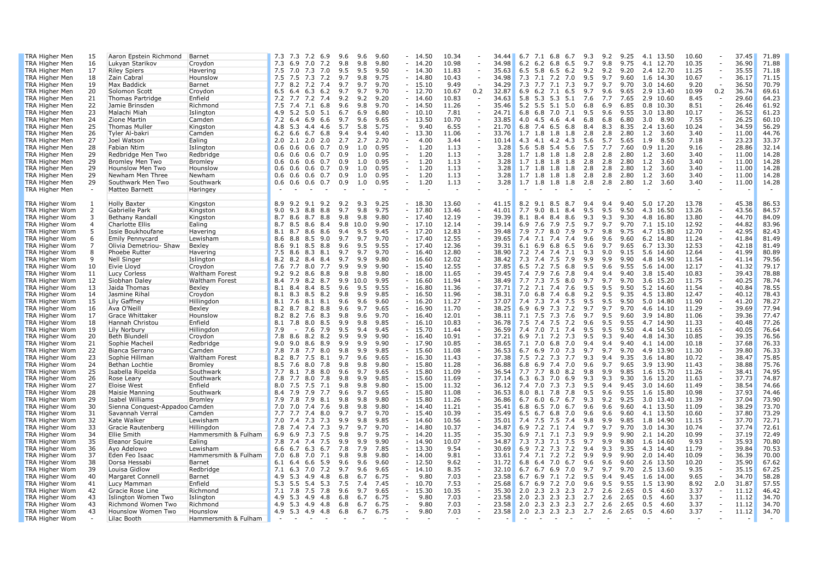| TRA Higher Men                                 | 15       | Aaron Epstein Richmond                   | Barnet                 | 10.34<br>71.89<br>7.2 6.9<br>9.6<br>9.60<br>$-14.50$<br>7.1 6.8<br>9.3<br>9.2<br>9.25<br>4.1 13.50<br>10.60<br>37.45<br>7.3 7.3<br>9.6<br>34.44<br>6.7<br>6.7                                                                                                                                                                                                  |
|------------------------------------------------|----------|------------------------------------------|------------------------|----------------------------------------------------------------------------------------------------------------------------------------------------------------------------------------------------------------------------------------------------------------------------------------------------------------------------------------------------------------|
| TRA Higher Men                                 | 16       | Lukyan Starikov                          | Croydon                | 6.9 7.0<br>7.2<br>$-14.20$<br>10.98<br>34.98<br>$6.2\;6.8$<br>9.75<br>4.1 12.70<br>10.35<br>36.90<br>71.88<br>7.3<br>9.8<br>9.8<br>9.80<br>6.2<br>6.5<br>9.7<br>9.8<br>$\bar{a}$                                                                                                                                                                               |
| <b>TRA Higher Men</b>                          | 17       | <b>Riley Spiers</b>                      | Havering               | 35.55<br>71.18<br>7.0<br>7.3<br>7.0<br>9.5<br>9.50<br>$-14.30$<br>11.83<br>5.8<br>6.5<br>6.2<br>9.2<br>9.2<br>9.20<br>2.4 12.70<br>11.25<br>7.5<br>9.5<br>35.63<br>6.5<br>$\overline{\phantom{a}}$                                                                                                                                                             |
| <b>TRA Higher Men</b>                          | 18       | Zain Cabral                              | Hounslow               | 7.3<br>7.2<br>$7.1$ $7.2$<br>9.7<br>36.17<br>71.15<br>7.5<br>7.5<br>9.7<br>9.8<br>9.75<br>$-14.80$<br>10.43<br>34.98<br>7.3<br>7.0<br>9.5<br>9.60<br>1.6 14.30<br>10.67<br>$\sim$                                                                                                                                                                              |
| TRA Higher Men                                 | 19       | Max Baddick                              | Barnet                 | 70.79<br>7.7 8.2 7.2 7.4<br>9.7<br>9.7<br>9.70<br>$-15.10$<br>9.49<br>34.29<br>7.3 7.7 7.1 7.3<br>9.7<br>9.7<br>9.70<br>9.20<br>$\sim$<br>36.50<br>3.0 14.60<br>$\sim$                                                                                                                                                                                         |
| <b>TRA Higher Men</b>                          | 20       | Solomon Scott                            | Croydon                | $6.5$ $6.4$ $6.3$ $6.2$<br>9.7<br>9.7<br>9.70<br>$-12.70$<br>10.67<br>0.2<br>32.87<br>6.9 6.2 7.1 6.5<br>9.7<br>9.6<br>9.65<br>2.9 13.40<br>10.99<br>0.2<br>36.74<br>69.61                                                                                                                                                                                     |
| <b>TRA Higher Men</b>                          | 21       | Thomas Partridge                         | Enfield                | 5.8 5.3 5.3<br>64.23<br>7.2 7.7 7.2 7.4<br>9.2<br>9.20<br>$-14.60$<br>10.83<br>5.1<br>7.7<br>7.65<br>2.9 10.60<br>8.45<br>29.60<br>9.2<br>34.63<br>7.6<br>$\sim$<br>$\sim$                                                                                                                                                                                     |
| <b>TRA Higher Men</b>                          | 22       | Jamie Brinsden                           | Richmond               | $5.5$ 5.1<br>61.92<br>7.5<br>7.4<br>7.1<br>6.8<br>9.6<br>9.8<br>9.70<br>$-14.50$<br>11.26<br>35.46<br>5.2<br>5.0<br>6.8<br>6.9<br>6.85<br>$0.8$ 10.30<br>8.51<br>÷,<br>26.46<br>$\sim$                                                                                                                                                                         |
| <b>TRA Higher Men</b>                          | 23       | Malachi Miah                             | Islington              | $5.2\ 5.0$<br>5.1<br>6.80<br>$-10.10$<br>7.81<br>9.6<br>9.55<br>3.0 13.80<br>10.17<br>36.52<br>61.23<br>4.9<br>6.7<br>6.9<br>24.71<br>6.8<br>6.8 7.0<br>7.1<br>9.5<br>$\overline{\phantom{a}}$                                                                                                                                                                 |
| <b>TRA Higher Men</b>                          | 24       | Zione Martin                             | Camden                 | $-13.50$<br>7.55<br>60.10<br>7.2 6.4 6.9 6.6<br>9.7<br>9.6<br>9.65<br>10.70<br>33.85<br>4.0<br>4.5 4.6<br>4.4<br>6.8<br>6.8<br>6.80<br>3.0<br>8.90<br>$\overline{\phantom{a}}$<br>26.25<br>$\overline{\phantom{a}}$                                                                                                                                            |
| <b>TRA Higher Men</b>                          | 25       | <b>Thomas Muller</b>                     | Kingston               | 56.29<br>5.3 4.4 4.6<br>5.7<br>5.8<br>5.75<br>$-9.40$<br>6.55<br>21.70<br>7.4 6.5 6.8<br>8.3<br>8.35<br>2.4 13.60<br>10.24<br>34.59<br>4.8<br>6.8<br>8.4<br>$\sim$                                                                                                                                                                                             |
| <b>TRA Higher Men</b>                          | 26       | Tyler Al-bakri                           | Camden                 | 44.76<br>6.6 6.7 6.8<br>9.40<br>11.06<br>1.8<br>1.8<br>3.60<br>3.40<br>11.00<br>6.2<br>9.4<br>9.4<br>$-13.30$<br>33.76<br>1.7<br>1.8<br>2.8<br>2.8<br>2.80<br>1.2<br>$\overline{\phantom{a}}$                                                                                                                                                                  |
| <b>TRA Higher Men</b>                          | 27<br>28 | Joel Watson<br>Fabian Ntim               | Ealing                 | 33.37<br>2.0<br>$2.1$ $2.0$ $2.0$<br>2.7<br>2.7<br>2.70<br>4.00<br>3.44<br>10.14<br>4.3<br>4.1<br>4.2<br>4.3<br>5.6<br>5.7<br>5.65<br>1.9<br>8.50<br>7.18<br>23.23<br>$\sim$<br>0.9<br>0.95<br>1.13<br>5.6 5.8 5.4<br>5.6<br>9.16<br>28.86<br>32.14<br>$0.6$ $0.6$ $0.6$ $0.7$<br>1.0<br>1.20<br>3.28<br>7.5<br>7.7<br>7.60<br>$0.9$ 11.20<br>$\sim$<br>$\sim$ |
| <b>TRA Higher Men</b><br><b>TRA Higher Men</b> | 29       | Redbridge Men Two                        | Islington<br>Redbridge | $0.6$ 0.6 0.6 0.7<br>0.9<br>1.0<br>0.95<br>1.20<br>1.13<br>3.28<br>1.7 1.8 1.8<br>2.8<br>3.40<br>÷,<br>11.00<br>14.28<br>$\sim$<br>1.8<br>2.8<br>2.80<br>1.2<br>3.60                                                                                                                                                                                           |
| <b>TRA Higher Men</b>                          | 29       | Bromley Men Two                          | <b>Bromley</b>         | 1.20<br>3.40<br>14.28<br>$0.6$ 0.6 0.6 0.7<br>0.9<br>1.0<br>0.95<br>1.13<br>3.28<br>1.7 1.8 1.8<br>1.8<br>2.8<br>2.8<br>2.80<br>1.2<br>3.60<br>$\overline{\phantom{a}}$<br>11.00<br>$\sim$                                                                                                                                                                     |
| <b>TRA Higher Men</b>                          | 29       | Hounslow Men Two                         | Hounslow               | $0.6$ 0.6 0.6 0.7<br>0.9<br>0.95<br>1.20<br>1.13<br>3.28<br>1.7<br>1.8 1.8<br>1.8<br>2.8<br>2.8<br>2.80<br>1.2<br>3.60<br>3.40<br>11.00<br>14.28<br>1.0<br>$\overline{\phantom{a}}$<br>$\overline{\phantom{a}}$                                                                                                                                                |
| <b>TRA Higher Men</b>                          | 29       | Newham Men Three                         | Newham                 | 3.40<br>14.28<br>$0.6$ 0.6 0.6 0.7<br>0.9<br>0.95<br>1.20<br>1.13<br>3.28<br>1.8 1.8 1.8<br>2.8<br>2.80<br>3.60<br>$\bar{a}$<br>11.00<br>1.0<br>$\sim$<br>1.7<br>2.8<br>1.2                                                                                                                                                                                    |
| <b>TRA Higher Men</b>                          | 29       | Southwark Men Two                        | Southwark              | 14.28<br>$0.6$ 0.6 0.6 0.7<br>0.9<br>1.0<br>0.95<br>1.20<br>1.13<br>3.28<br>1.7 1.8 1.8 1.8<br>2.8<br>2.8<br>2.80<br>1.2<br>3.60<br>3.40<br>11.00<br>$\sim$                                                                                                                                                                                                    |
| <b>TRA Higher Men</b>                          |          | Matteo Barnett                           | Haringey               |                                                                                                                                                                                                                                                                                                                                                                |
|                                                |          |                                          |                        |                                                                                                                                                                                                                                                                                                                                                                |
| TRA Higher Wom                                 | -1       | <b>Holly Baxter</b>                      | Kingston               | 86.53<br>8.9 9.2 9.1 9.2<br>9.2<br>9.3<br>9.25<br>$-18.30$<br>13.60<br>41.15<br>8.2 9.1 8.5 8.7<br>9.4<br>9.40<br>5.0 17.20<br>13.78<br>45.38<br>9.4<br>$\sim$<br>$\sim$                                                                                                                                                                                       |
| <b>TRA Higher Wom</b>                          | 2        | Gabrielle Park                           | Kingston               | 9.8<br>9.75<br>9.5<br>9.50<br>84.57<br>9.3 8.8 8.8<br>9.7<br>$-17.80$<br>13.46<br>41.01<br>9.0<br>8.1<br>8.4<br>9.5<br>13.26<br>$\overline{\phantom{a}}$<br>43.56<br>9.0<br>$\sim$<br>7.7<br>4.3 16.50                                                                                                                                                         |
| <b>TRA Higher Wom</b>                          | 3        | Bethany Randall                          | Kingston               | 8.7 8.6 8.7 8.8<br>9.8<br>9.8<br>9.80<br>$-17.40$<br>12.19<br>39.39<br>8.4 8.4<br>8.6<br>9.3<br>9.30<br>13.80<br>$\sim$<br>44.70<br>84.09<br>8.1<br>9.3<br>4.8 16.80                                                                                                                                                                                           |
| <b>TRA Higher Wom</b>                          | 4        | Charlotte Ellis                          | Ealing                 | $-17.10$<br>12.14<br>7.9<br>12.92<br>83.96<br>8.7 8.5 8.6 8.4<br>9.8<br>10.0<br>9.90<br>39.14<br>7.6<br>7.5<br>9.7<br>9.7<br>9.70<br>7.1 15.10<br>$\omega$<br>44.82<br>6.9                                                                                                                                                                                     |
| TRA Higher Wom                                 | 5        | Issie Boukhoufane                        | Havering               | 7.7 8.0<br>82.43<br>8.1 8.7 8.6 8.6<br>9.4<br>9.5<br>9.45<br>$-17.20$<br>12.83<br>39.48<br>7.9<br>7.9<br>9.7<br>9.8<br>9.75<br>4.7 15.80<br>12.70<br>$\blacksquare$<br>42.95<br>$\sim$                                                                                                                                                                         |
| <b>TRA Higher Wom</b>                          | 6        | <b>Emily Pennycard</b>                   | Lewisham               | 12.55<br>11.24<br>81.49<br>8.6 8.8 8.5 9.0<br>9.7<br>9.7<br>9.70<br>$-17.40$<br>39.65<br>7.4 7.1 7.4 7.4<br>9.6<br>9.6<br>9.60<br>6.2 14.80<br>41.84<br>$\sim$<br>$\overline{\phantom{a}}$                                                                                                                                                                     |
| <b>TRA Higher Wom</b>                          | 7        | Olivia Demetriou- Shaw                   | Bexley                 | 12.53<br>81.49<br>8.6 9.1 8.5 8.8<br>9.6<br>9.5<br>9.55<br>$-17.40$<br>12.36<br>39.31<br>6.1<br>6.9 6.8<br>6.5<br>9.6<br>9.7<br>9.65<br>6.7 13.30<br>$\bar{a}$<br>42.18                                                                                                                                                                                        |
| TRA Higher Wom                                 | 8        | Phoebe Rutter                            | Havering               | 7.5 8.6 8.3 8.1<br>9.7<br>9.70<br>$-16.40$<br>12.80<br>38.90<br>7.4 7.4 7.1<br>9.0<br>9.15<br>5.6 14.60<br>12.64<br>41.99<br>80.89<br>9.7<br>7.2<br>9.3<br>$\overline{\phantom{a}}$                                                                                                                                                                            |
| <b>TRA Higher Wom</b>                          | 9        | Nell Singer                              | Islington              | 12.02<br>7.4 7.5<br>79.56<br>8.2 8.2 8.4 8.4<br>9.7<br>9.9<br>9.80<br>$-16.60$<br>38.42<br>7.3<br>7.9<br>9.9<br>9.90<br>11.54<br>41.14<br>9.9<br>4.8 14.90<br>$\overline{\phantom{a}}$                                                                                                                                                                         |
| <b>TRA Higher Wom</b>                          | 10       | Eivie Lloyd                              | Croydon                | 79.17<br>7.6 7.7 8.0 7.7<br>9.9<br>9.9<br>9.90<br>$-15.40$<br>12.55<br>37.85<br>6.5<br>7.2 7.5 6.8<br>9.5<br>9.6<br>9.55<br>5.6 14.00<br>12.17<br>$\overline{\phantom{a}}$<br>41.32                                                                                                                                                                            |
| <b>TRA Higher Wom</b>                          | 11       | Lucy Corless                             | Waltham Forest         | $-18.00$<br>9.4<br>9.4<br>10.83<br>39.43<br>78.88<br>9.2 9.2 8.6 8.8<br>9.8<br>9.8<br>9.80<br>11.65<br>39.45<br>7.4 7.9<br>7.6 7.8<br>9.40<br>3.8 15.40<br>$\sim$                                                                                                                                                                                              |
| <b>TRA Higher Wom</b>                          | 12       | Siobhan Dalev                            | <b>Waltham Forest</b>  | 10.0<br>9.95<br>$-16.60$<br>7.7 7.3 7.5 8.0<br>9.7<br>11.75<br>40.25<br>78.74<br>8.4 7.9 8.2 8.7<br>9.9<br>11.94<br>38.49<br>9.7<br>9.70<br>3.6 15.20<br>$\overline{\phantom{a}}$                                                                                                                                                                              |
| TRA Higher Wom                                 | 13       | Jaida Thomas                             | Bexley                 | 78.55<br>8.1 8.4 8.4 8.5<br>9.6<br>9.5<br>9.55<br>$-16.80$<br>11.36<br>37.71<br>7.2<br>7.1 7.4<br>7.6<br>9.5<br>9.50<br>5.2 14.60<br>11.54<br>40.84<br>9.5<br>$\overline{\phantom{a}}$                                                                                                                                                                         |
| <b>TRA Higher Wom</b>                          | 14       | Jasmine Rihal                            | Croydon                | 9.35<br>78.43<br>8.1 8.3 8.5 8.2<br>9.8<br>9.9<br>9.85<br>$-16.50$<br>11.96<br>38.31<br>7.0<br>6.8 7.4<br>6.8<br>9.2<br>9.5<br>4.5 13.80<br>12.47<br>$\bar{a}$<br>40.12                                                                                                                                                                                        |
| TRA Higher Wom                                 | 15       | Lily Gaffney                             | Hillingdon             | 9.5<br>78.27<br>8.1 7.6 8.1 8.1<br>9.6<br>9.6<br>9.60<br>$-16.20$<br>11.27<br>37.07<br>7.4 7.3 7.4 7.5<br>9.5<br>9.50<br>5.0 14.80<br>11.90<br>41.20<br>$\overline{\phantom{a}}$                                                                                                                                                                               |
| <b>TRA Higher Wom</b>                          | 16       | Ava O'Neill                              | Bexley                 | 8.2 8.7 8.2 8.8<br>9.6<br>9.7<br>9.65<br>$-16.90$<br>11.70<br>38.25<br>6.9<br>6.9 7.3<br>7.2<br>9.7<br>9.7<br>9.70<br>4.6 14.10<br>11.29<br>39.69<br>77.94                                                                                                                                                                                                     |
| TRA Higher Wom                                 | 17       | Grace Whittaker                          | Hounslow               | 8.2 8.2 7.6 8.3<br>9.70<br>$-16.40$<br>12.01<br>38.11<br>7.1 7.5 7.3<br>7.6<br>9.5<br>9.60<br>3.9 14.80<br>11.06<br>39.36<br>77.47<br>9.8<br>9.6<br>9.7<br>$\overline{\phantom{a}}$                                                                                                                                                                            |
| <b>TRA Higher Wom</b>                          | 18       | Hannah Christou                          | Enfield                | 10.83<br>7.5<br>77.26<br>7.8 8.0 8.5<br>9.9<br>9.85<br>$-16.10$<br>36.78<br>7.5<br>7.4<br>7.2<br>9.6<br>9.5<br>9.55<br>4.7 14.90<br>11.33<br>40.48<br>8.1<br>9.8<br>$\overline{\phantom{a}}$<br>9.5<br>$7.1$ $7.4$<br>9.5<br>9.50<br>$\sim$                                                                                                                    |
| <b>TRA Higher Wom</b>                          | 19       | Lily Norbury                             | Hillingdon             | 7.6 7.9<br>$-15.70$<br>40.05<br>76.64<br>7.9<br>9.4<br>9.45<br>11.44<br>36.59<br>7.4 7.0<br>9.5<br>4.4 14.50<br>11.65<br>$\sim$<br>$\sim$<br>9.3<br>$\sim$                                                                                                                                                                                                     |
| <b>TRA Higher Wom</b><br><b>TRA Higher Wom</b> | 20<br>21 | Beth Blundell<br>Sophie Macheil          | Croydon<br>Redbridge   | 76.56<br>7.8 8.6 8.2 8.2<br>9.9<br>9.9<br>9.90<br>$-16.40$<br>10.91<br>7.1 7.2<br>7.3<br>9.5<br>9.40<br>10.85<br>39.35<br>37.21<br>6.9<br>4.8 14.30<br>$-17.90$<br>37.68<br>76.33<br>9.0<br>9.0 8.6 8.9<br>9.9<br>9.9<br>9.90<br>10.85<br>38.65<br>7.1<br>7.0<br>6.8<br>7.0<br>9.4<br>9.4<br>9.40<br>4.1 14.00<br>10.18<br>$\sim$                              |
| TRA Higher Wom                                 | 22       | Bianca Serrano                           | Camden                 | 76.33<br>7.8 7.8 7.7 8.0<br>9.8<br>9.9<br>9.85<br>$-15.60$<br>11.08<br>36.53<br>6.7<br>6.9<br>7.0<br>7.3<br>9.7<br>9.7<br>9.70<br>4.9 13.90<br>11.30<br>$\overline{\phantom{a}}$<br>39.80<br>$\sim$                                                                                                                                                            |
| <b>TRA Higher Wom</b>                          | 23       | Sophie Hillman                           | <b>Waltham Forest</b>  | 7.5<br>75.85<br>8.2<br>8.7<br>8.1<br>9.7<br>9.6<br>9.65<br>$-16.30$<br>11.43<br>$\sim$<br>37.38<br>7.5<br>7.2<br>7.3<br>7.7<br>9.3<br>9.4<br>9.35<br>3.6 14.80<br>10.72<br>$\sim$<br>38.47                                                                                                                                                                     |
| TRA Higher Wom                                 | 24       | Bethan Lochtie                           | Bromley                | 75.76<br>$-15.80$<br>11.28<br>6.9 7.4 7.0<br>9.7<br>9.65<br>3.9 13.90<br>11.43<br>38.88<br>8.5 7.6 8.0 7.8<br>9.8<br>9.8<br>9.80<br>$\sim$<br>36.88<br>6.8<br>9.6<br>$\blacksquare$                                                                                                                                                                            |
| <b>TRA Higher Wom</b>                          | 25       | Isabella Ripelda                         | Southwark              | 74.95<br>7.7 8.1 7.8 8.0<br>9.6<br>9.7<br>9.65<br>$-15.80$<br>11.09<br>36.54<br>7.7<br>7.7 8.0<br>8.2<br>9.8<br>9.9<br>9.85<br>1.6 15.70<br>11.26<br>38.41                                                                                                                                                                                                     |
| <b>TRA Higher Wom</b>                          | 26       | Rose Leary                               | Southwark              | $7.7$ 8.0<br>$-15.60$<br>11.69<br>6.3 7.0<br>9.3<br>9.30<br>3.6 13.20<br>11.63<br>37.73<br>74.87<br>7.8<br>7.8<br>9.8<br>9.9<br>9.85<br>37.14<br>6.3<br>6.9<br>9.3<br>$\overline{\phantom{a}}$                                                                                                                                                                 |
| <b>TRA Higher Wom</b>                          | 27       | Eloise West                              | Enfield                | 74.66<br>7.5<br>7.1<br>9.8<br>9.80<br>$-15.00$<br>11.32<br>7.0<br>7.3<br>7.3<br>9.5<br>9.4<br>9.45<br>11.49<br>$\overline{\phantom{a}}$<br>38.54<br>8.0<br>7.5<br>9.8<br>36.12<br>7.4<br>3.0 14.60                                                                                                                                                             |
| <b>TRA Higher Wom</b>                          | 28       | Maisie Manning                           | Southwark              | 37.93<br>74.46<br>8.4<br>7.9<br>7.9<br>7.7<br>9.6<br>9.7<br>9.65<br>$-15.80$<br>11.08<br>36.53<br>8.0<br>8.1 7.8<br>7.8<br>9.5<br>9.6<br>9.55<br>1.6 15.80<br>10.98<br>$\overline{\phantom{a}}$<br>$\sim$                                                                                                                                                      |
| TRA Higher Wom                                 | 29       | Isabel Williams                          | <b>Bromley</b>         | 73.90<br>7.9 7.8 7.9 8.1<br>9.8<br>9.8<br>$-15.80$<br>6.7 6.7<br>9.3<br>9.2<br>9.25<br>11.39<br>$\sim$<br>37.04<br>9.80<br>11.26<br>36.86<br>6.7<br>6.0<br>3.0 13.40                                                                                                                                                                                           |
| <b>TRA Higher Wom</b>                          | 30       | Sienna Conquest-Appadoo Camden           |                        | $-14.40$<br>38.29<br>73.70<br>7.0 7.0 7.4 7.6<br>9.8<br>9.8<br>9.80<br>11.21<br>35.41<br>$6.8$ $6.5$ $7.0$<br>6.7<br>9.6<br>9.6<br>9.60<br>4.1 13.50<br>11.09<br>$\bar{a}$                                                                                                                                                                                     |
| TRA Higher Wom                                 | 31       | Savannah Verral                          | Camden                 | 73.29<br>7.7 7.7 7.4 8.0<br>9.70<br>$-15.40$<br>10.39<br>35.49<br>$6.7\;6.8$<br>7.0<br>9.6<br>9.60<br>10.60<br>37.80<br>9.7<br>9.7<br>6.5<br>9.6<br>4.1 13.50<br>$\sim$                                                                                                                                                                                        |
| <b>TRA Higher Wom</b>                          | 32       | Kate Walker                              | Lewisham               | 72.71<br>7.3<br>7.3<br>9.9<br>9.8<br>9.85<br>$-14.60$<br>10.56<br>35.01<br>7.4<br>7.5<br>7.5<br>7.4<br>9.8<br>9.9<br>9.85<br>1.8 14.90<br>11.15<br>$\overline{\phantom{a}}$<br>37.70<br>7.0<br>7.4                                                                                                                                                             |
| <b>TRA Higher Wom</b>                          | 33       | Gracie Rautenberg                        | Hillingdon             | 7.4<br>7.3<br>10.37<br>$7.2$ $7.1$<br>9.7<br>9.70<br>10.74<br>37.74<br>72.61<br>7.8<br>9.7<br>9.7<br>9.70<br>$-14.80$<br>34.87<br>6.9<br>7.4<br>9.7<br>3.0 14.30<br>$\bar{a}$<br>7.4                                                                                                                                                                           |
| TRA Higher Wom                                 | 34       | Ellie Smith                              | Hammersmith & Fulham   | 7.1 7.1 7.3<br>9.9<br>10.99<br>37.19<br>72.49<br>6.9<br>6.9<br>7.3 7.5<br>9.8<br>9.7<br>9.75<br>$-14.20$<br>11.35<br>35.30<br>6.9<br>9.9<br>9.90<br>2.1 14.20<br>$\overline{\phantom{a}}$                                                                                                                                                                      |
| <b>TRA Higher Wom</b>                          | 35       | <b>Eleanor Squire</b>                    | Ealing                 | 7.4 7.4 7.5<br>9.90<br>$-14.90$<br>10.07<br>7.3 7.3 7.1 7.5<br>1.6 14.60<br>9.93<br>35.93<br>70.80<br>7.8<br>9.9<br>9.9<br>34.87<br>9.7<br>9.9<br>9.80<br>$\overline{\phantom{a}}$                                                                                                                                                                             |
| <b>TRA Higher Wom</b>                          | 36       | Ayo Adelowo                              | Lewisham               | 70.53<br>6.3<br>9.54<br>30.69<br>7.2<br>7.3<br>7.2<br>9.4<br>11.79<br>39.84<br>6.6<br>6.7<br>6.7<br>7.8<br>7.9<br>7.85<br>$-13.30$<br>6.9<br>9.3<br>9.35<br>4.3 14.40<br>$\overline{\phantom{a}}$                                                                                                                                                              |
| <b>TRA Higher Wom</b>                          | 37       | Eden Feo Isaac                           | Hammersmith & Fulham   | 70.00<br>7.0<br>7.0<br>7.1<br>9.8<br>9.8<br>9.80<br>$-14.00$<br>9.81<br>33.61<br>7.1 7.2<br>7.2<br>9.9<br>9.9<br>9.90<br>2.0 14.40<br>10.09<br>$\overline{\phantom{a}}$<br>36.39<br>6.8<br>7.4                                                                                                                                                                 |
| TRA Higher Wom                                 | 38       | Dorsa Hessabi                            | Barnet                 | 5.9<br>9.6<br>9.60<br>$-12.50$<br>9.62<br>31.72<br>9.6<br>9.6<br>10.20<br>35.90<br>67.62<br>6.6<br>9.6<br>6.8<br>6.4 7.0<br>6.7<br>9.60<br>2.6 13.50<br>$\sim$<br>6.1<br>6.4                                                                                                                                                                                   |
| <b>TRA Higher Wom</b>                          | 39       | Louisa Gidlow                            | Redbridge              | 7.0 7.2<br>9.7<br>9.6<br>9.65<br>$-14.10$<br>8.35<br>$6.7$ $6.9$ $7.0$<br>9.7<br>9.70<br>2.5 13.60<br>9.35<br>35.15<br>67.25<br>7.1 6.3<br>32.10<br>6.7<br>9.7<br>$\sim$                                                                                                                                                                                       |
| <b>TRA Higher Wom</b>                          | 40       | <b>Margaret Connell</b>                  | Barnet                 | 58.28<br>4.9<br>9.80<br>7.03<br>23.58<br>7.1<br>7.2<br>9.65<br>34.70<br>4.9<br>5.3<br>4.8<br>6.8<br>6.7<br>6.75<br>6.7<br>6.9<br>9.5<br>9.4<br>9.45<br>1.6 14.00<br>$\sim$<br>$\sim$                                                                                                                                                                           |
| <b>TRA Higher Wom</b>                          | 41       | Lucy Mamman                              | Enfield                | 57.55<br>5.3<br>5.4<br>5.3<br>7.45<br>$-10.70$<br>7.53<br>25.68<br>6.7<br>6.9<br>7.2<br>7.0<br>9.5<br>9.55<br>13.90<br>8.92<br>2.0<br>31.87<br>5.5<br>7.5<br>7.4<br>$\sim$<br>9.6<br>1.5<br>$\sim$                                                                                                                                                             |
| <b>TRA Higher Wom</b>                          | 42       | Gracie Rose Line                         | Richmond               | 10.35<br>3.37<br>46.42<br>7.1<br>7.8 7.5<br>7.8<br>9.6<br>9.65<br>$-15.30$<br>35.30<br>2.0<br>$2.3$ 2.3<br>2.3<br>2.7<br>2.6<br>2.65<br>0.5<br>4.60<br>11.12<br>9.7<br>$\overline{\phantom{a}}$<br>$\sim$                                                                                                                                                      |
| <b>TRA Higher Wom</b><br><b>TRA Higher Wom</b> | 43       | Islington Women Two                      | Islington<br>Richmond  | 3.37<br>34.70<br>4.9<br>5.3 4.9 4.8<br>6.75<br>9.80<br>7.03<br>23.58<br>2.0<br>2.3 2.3<br>2.3<br>2.7<br>2.6<br>2.65<br>4.60<br>11.12<br>6.8<br>6.7<br>0.5<br>7.03<br>3.37<br>34.70<br>4.9<br>5.3 4.9 4.8<br>6.75<br>9.80<br>23.58<br>2.0<br>$2.3$ 2.3<br>2.3<br>2.7<br>2.65<br>11.12<br>0.5<br>$\sim$                                                          |
| <b>TRA Higher Wom</b>                          | 43<br>43 | Richmond Women Two<br>Hounslow Women Two | Hounslow               | 6.8<br>6.7<br>2.6<br>4.60<br>4.9 5.3 4.9 4.8<br>6.75<br>9.80<br>7.03<br>23.58<br>2.0 2.3 2.3 2.3<br>2.7<br>2.65<br>0.5<br>4.60<br>3.37<br>11.12<br>34.70<br>6.8<br>6.7<br>2.6<br>$\overline{\phantom{a}}$                                                                                                                                                      |
| TRA Higher Wom                                 |          | Lilac Booth                              | Hammersmith & Fulham   |                                                                                                                                                                                                                                                                                                                                                                |
|                                                |          |                                          |                        |                                                                                                                                                                                                                                                                                                                                                                |